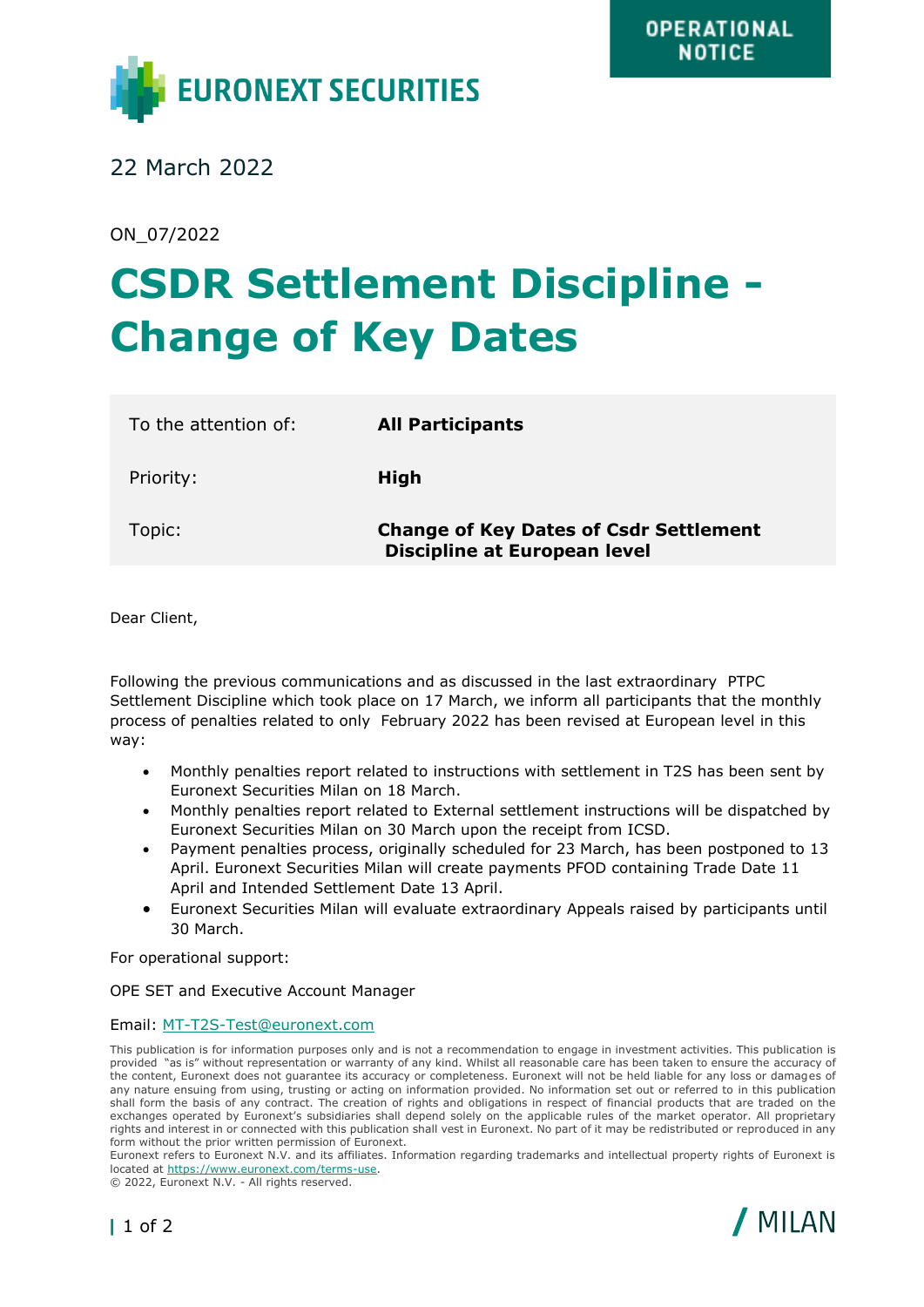

22 March 2022

ON\_07/2022

## **CSDR Settlement Discipline - Change of Key Dates**

| To the attention of: | <b>All Participants</b>                                                              |
|----------------------|--------------------------------------------------------------------------------------|
| Priority:            | High                                                                                 |
| Topic:               | <b>Change of Key Dates of Csdr Settlement</b><br><b>Discipline at European level</b> |

Dear Client,

Following the previous communications and as discussed in the last extraordinary PTPC Settlement Discipline which took place on 17 March, we inform all participants that the monthly process of penalties related to only February 2022 has been revised at European level in this way:

- Monthly penalties report related to instructions with settlement in T2S has been sent by Euronext Securities Milan on 18 March.
- Monthly penalties report related to External settlement instructions will be dispatched by Euronext Securities Milan on 30 March upon the receipt from ICSD.
- Payment penalties process, originally scheduled for 23 March, has been postponed to 13 April. Euronext Securities Milan will create payments PFOD containing Trade Date 11 April and Intended Settlement Date 13 April.
- Euronext Securities Milan will evaluate extraordinary Appeals raised by participants until 30 March.

For operational support:

OPE SET and Executive Account Manager

## Email: [MT-T2S-Test@euronext.com](mailto:MT-T2S-Test@euronext.com)

This publication is for information purposes only and is not a recommendation to engage in investment activities. This publication is provided "as is" without representation or warranty of any kind. Whilst all reasonable care has been taken to ensure the accuracy of the content, Euronext does not guarantee its accuracy or completeness. Euronext will not be held liable for any loss or damages of any nature ensuing from using, trusting or acting on information provided. No information set out or referred to in this publication shall form the basis of any contract. The creation of rights and obligations in respect of financial products that are traded on the exchanges operated by Euronext's subsidiaries shall depend solely on the applicable rules of the market operator. All proprietary rights and interest in or connected with this publication shall vest in Euronext. No part of it may be redistributed or reproduced in any form without the prior written permission of Euronext.

Euronext refers to Euronext N.V. and its affiliates. Information regarding trademarks and intellectual property rights of Euronext is located at [https://www.euronext.com/terms-use.](https://www.euronext.com/terms-use)

© 2022, Euronext N.V. - All rights reserved.